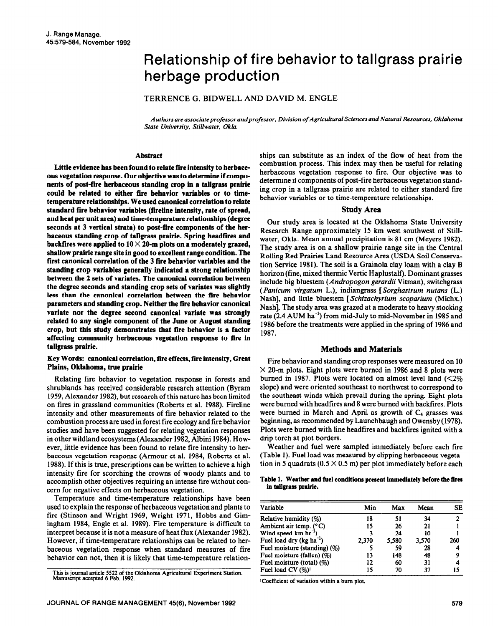# Relationship of fire behavior to tallgrass prairie herbage production

TERRENCE G. BIDWELL AND DAVID M. ENGLE

*Authors are associate professor andprofessor, Division of Agricultural Sciences and Natural Resources, Oklahoma State University, Stillwater, Okla.* 

## **Abstract**

**Little evidence has been found to relate fire intensity to berbaceous vegetation response. Our objective was to determine if components of post-fire berbaceous standing crop in a tallgrass prairie could be related to either fire behavior variables or to timetemperature relationships. We used canonical correlation to relate**  standard fire behavior variables (fireline intensity, rate of spread, **and beat per unit area) and time-temperature relationships (degree seconds at 3 vertical strata) to post-fire components of the herbaceous standing crop of tallgrass prairie. Spring headfires and backfires were applied to 10 X 20-m plots on a moderately grazed, shallow prairie range site in good to excellent range condition. The first canonical correlation of the 3 fire behavior variables and the standing crop variables generally indicated a strong relationship between the 2 sets of variates. The canonical correlation between the degree seconds and standing crop sets of variates was slightly less than the canonical correlation between the fire behavior parameters and standing crop. Neither the fire behavior canonical variate nor the degree second canonical variate was strongly related to any single component of the June or August standing crop, but this study demonstrates that fire behavior is a factor affecting community berbaceous vegetation response to fire in tallgrass prairie.** 

## **Key Words: canonical correlation, fire effects, fire intensity, Great Plains, Oklahoma, true prairie**

Relating fire behavior to vegetation response in forests and shrublands has received considerable research attention (Byram **1959,** Alexander 1982), but research of this nature has been limited on fires in grassland communities (Roberts et al. 1988). Fireline intensity and other measurements of tire behavior related to the combustion process are used in forest fire ecology and fire behavior studies and have been suggested for relating vegetation responses in other wildland ecosystems (Alexander 1982, Albini 1984). However, little evidence has been found to relate fire intensity to herbaceous vegetation response (Armour et al. 1984, Roberts et al. 1988). If this is true, prescriptions can be written to achieve a high intensity fire for scorching the crowns of woody plants and to accomplish other objectives requiring an intense fire without concern for negative effects on herbaceous vegetation.

Temperature and time-temperature relationships have been used to explain the response of herbaceous vegetation and plants to fire (Stinson and Wright 1969, Wright 1971, Hobbs and Gimingham 1984, Engle et al. 1989). Fire temperature is difficult to interpret because it is not a measure of heat flux (Alexander 1982). However, if time-temperature relationships can be related to herbaceous vegetation response when standard measures of fire behavior can not, then it is likely that time-temperature relation-

This is journal article 5522 of the Oklahoma Agricultural Experiment Station. Manuscript accepted 6 Feb. 1992.

ships can substitute as an index of the flow of heat from the combustion process. This index may then be useful for relating herbaceous vegetation response to fire. Our objective was to determine if components of post-fire herbaceous vegetation standing crop in a tallgrass prairie are related to either standard fire behavior variables or to time-temperature relationships.

## **Study Area**

Our study area is located at the Oklahoma State University Research Range approximately 15 km west southwest of Stillwater, Okla. Mean annual precipitation is 81 cm (Meyers 1982). The study area is on a shallow prairie range site in the Central Rolling Red Prairies Land Resource Area (USDA Soil Conservation Service 1981). The soil is a Grainola clay loam with a clay B horizon (fine, mixed thermic Vertic Haplustalf). Dominant grasses include big bluestem (Andropogon *gerurdii* Vitman), switchgrass *(Punicum virgutum* L.), indiangrass [ *Sorghustrum nutuns* (L.) Nash], and little bluestem [ *Schizuchyrium scoparium* (Michx.) Nash]. The study area was grazed at a moderate to heavy stocking rate (2.4 AUM ha<sup>-1</sup>) from mid-July to mid-November in 1985 and 1986 before the treatments were applied in the spring of 1986 and 1987.

# **Methods and Materials**

Fire behavior and **standing crop** responses were measured on 10  $\times$  20-m plots. Eight plots were burned in 1986 and 8 plots were burned in 1987. Plots were located on almost level land  $\langle 2\%$ slope) and were oriented southeast to northwest to correspond to the southeast winds which prevail during the spring. Eight plots were burned with headfires and 8 were burned with backfires. Plots were burned in March and April as growth of  $C_4$  grasses was beginning, as recommended by Launchbaugh and Owensby (1978). Plots were burned with line headtires and backfires ignited with a drip torch at plot borders.

Weather and fuel were sampled immediately before each fire (Table 1). Fuel load was measured by clipping herbaceous vegetation in 5 quadrats ( $0.5 \times 0.5$  m) per plot immediately before each

## Table 1. Weather and fuel conditions present immediately before the fires **in tallgrass prairie.**

| Variable                     | Min   | Max   | Mean  | SE  |
|------------------------------|-------|-------|-------|-----|
| Relative humidity (%)        | 18    | 51    | 34    |     |
| Ambient air temp. (°C)       | 15    | 26    | 21    |     |
| Wind speed $km \, hr^{-1}$ ) | 3     | 24    | 10    |     |
| Fuel load dry $(kg ha^{-1})$ | 2,370 | 5,580 | 3,570 | 260 |
| Fuel moisture (standing) (%) |       | 59    | 28    |     |
| Fuel moisture (fallen) (%)   | 13    | 148   | 48    |     |
| Fuel moisture (total) (%)    | 12    | 60    | 31    |     |
| Fuel load $CV(%)1$           | 15    | 70    | 37    | 15  |

lCoefticient of variation within a bum plot.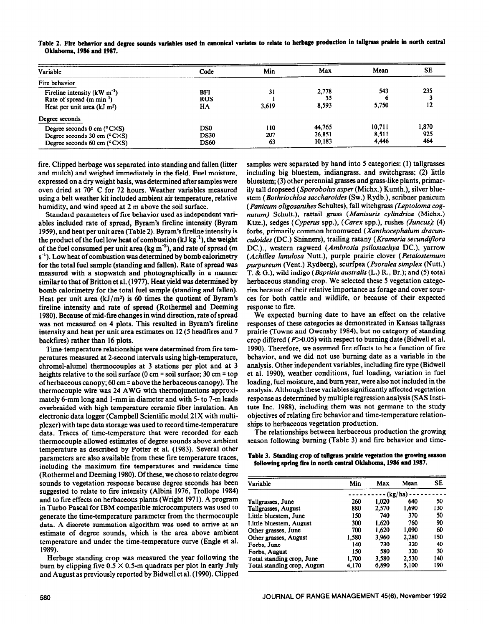| Variable                                            | Code        | Min   | Max    | Mean   | SE    |
|-----------------------------------------------------|-------------|-------|--------|--------|-------|
| Fire behavior                                       |             |       |        |        |       |
| Fireline intensity $(kW m-1)$                       | BFI         | 31    | 2,778  | 543    | 235   |
| Rate of spread $(m \text{ min}^{-1})$               | <b>ROS</b>  |       | 35     | 6      |       |
| Heat per unit area $(kJ \, m^2)$                    | HA          | 3,619 | 8,593  | 5,750  | 12    |
| Degree seconds                                      |             |       |        |        |       |
| Degree seconds $0 \text{ cm } (^{\circ}C \times S)$ | DS0         | 110   | 44,765 | 10,711 | 1,870 |
| Degree seconds $30 \text{ cm}$ (°C $\times$ S)      | <b>DS30</b> | 207   | 26,851 | 8.511  | 925   |
| Degree seconds 60 cm $(^{\circ}$ C $\times$ S)      | DS60        | 63    | 10,183 | 4,446  | 464   |

Table 2. Fire behavior and degree sounds variables used in canonical variates to relate to herbage production in tallgrass prairie in north central **Oklahoma, 1986 and 1987.** 

fire. Clipped herbage was separated into standing and fallen (litter and mulch) and weighed immediately in the field. Fuel moisture, expressed on a dry weight basis, was determined after samples were oven dried at 70' C for 72 hours. Weather variables measured using a belt weather kit included ambient air temperature, relative humidity, and wind speed at 2 m above the soil surface.

Standard parameters of fire behavior used as independent variables included rate of spread, Byram's fireline intensity (Byram 1959), and heat per unit area (Table 2). Byram's fireline intensity is the product of the fuel low heat of combustion  $(kJ kg<sup>-1</sup>)$ , the weight of the fuel consumed per unit area  $(\text{kg m}^{-2})$ , and rate of spread (m)  $s^{-1}$ ). Low heat of combustion was determined by bomb calorimetry for the total fuel sample (standing and fallen). Rate of spread was measured with a stopwatch and photographically in a manner similar to that of Britton et al. (1977). Heat yield was determined by bomb calorimetry for the total fuel sample (standing and fallen). Heat per unit area  $(kJ/m^2)$  is 60 times the quotient of Byram's fireline intensity and rate of spread (Rothermel and Deeming 1980). Because of mid-fire changes in wind direction, rate of spread was not measured on 4 plots. This resulted in Byram's fireline intensity and heat per unit area estimates on 12 (5 headfires and 7 backfires) rather than 16 plots.

Time-temperature relationships were determined from tire temperatures measured at 2-second intervals using high-temperature, chromel-alumel thermocouples at 3 stations per plot and at 3 heights relative to the soil surface (0 cm = soil surface; 30 cm = top of herbaceous canopy; 60 cm  $=$  above the herbaceous canopy). The thermocouple wire was 24 AWG with thermojunctions approximately 6-mm long and l-mm in diameter and with 5- to 7-m leads overbraided with high temperature ceramic fiber insulation. An electronic data logger (Campbell Scientific model 21X with multiplexer) with tape data storage was used to record time-temperature data. Traces of time-temperature that were recorded for each thermocouple allowed estimates of degree sounds above ambient temperature as described by Potter et al. (1983). Several other parameters are also available from these fire temperature traces, including the maximum fire temperatures and residence time (Rothermel and Deeming 1980). Of these, we chose to relate degree sounds to vegetation response because degree seconds has been suggested to relate to fire intensity (Albini 1976, Trollope 1984) and to fire effects on herbaceous plants (Wright 1971). A program in Turbo Pascal for IBM compatible microcomputers was used to generate the time-temperature parameter from the thermocouple data. A discrete summation algorithm was used to arrive at an estimate of degree sounds, which is the area above ambient temperature and under the time-temperature curve (Engle et al. 1989).

Herbage standing crop was measured the year following the burn by clipping five  $0.5 \times 0.5$ -m quadrats per plot in early July and August as previously reported by Bidwell et al. (1990). Clipped samples were separated by hand into 5 categories: (1) tallgrasses including big bluestem, indiangrass, and switchgrass; (2) little bluestem; (3) other perennial grasses and grass-like plants, primarily tall dropseed (Sporobolus asper (Michx.) Kunth.), silver bluestem *(Bothriochloa sacchuroides (SW.)* Rydb.), scribner panicum *(Panicum oligosanthes* Schultes), fall witchgrass *(Leptoloma cognatum)* Schult.), rattail grass *(Manisuris cylindrica* (Michx.) Ktze.), sedges (Cyperur spp.), *(Carex* spp.), rushes **(Juncus);** *(4)*  forbs, primarily common broomweed *(Xanthocephalum dracunculoides* (DC.) Shinners), trailing ratany *(Krameria secundiflora*  DC.)., western ragweed *(Ambrosia psilostachya* DC.), yarrow *(Achilles lanulosa* Nutt.), purple prairie clover *(Petulostemum purpureum* (Vent.) Rydberg), scurfpea *(Psorulea simplex* (Nutt.) T. & G.), wild indigo *(Baptisiu australis* (L.) R., Br.); and (5) total herbaceous standing crop. We selected these 5 vegetation categories because of their relative importance as forage and cover sources for both cattle and wildlife, or because of their expected response to fire.

We expected burning date to have an effect on the relative responses of these categories as demonstrated in Kansas tallgrass prairie (Towne and Owensby 1984), but no category of standing crop differed ( $P > 0.05$ ) with respect to burning date (Bidwell et al. 1990). Therefore, we assumed fire effects to be a function of fire behavior, and we did not use burning date as a variable in the analysis. Other independent variables, including fire type (Bidwell et al. 1990), weather conditions, fuel loading, variation in fuel loading, fuel moisture, and burn year, were also not included in the analysis. Although these variables significantly affected vegetation response as determined by multiple regression analysis (SAS Institute Inc. 1988), including them was not germane to the study objectives of relating fire behavior and time-temperature relationships to herbaceous vegetation production.

The relationships between herbaceous production the growing season following burning (Table 3) and fire behavior and time-

**Table 3. Standing crop of tallgrass prairie vegetation the growing season following spring fire io north central Oklahoma, 1986 end 1987.** 

| Variable                    | Min   | Max   | Mean    | <b>SE</b> |
|-----------------------------|-------|-------|---------|-----------|
|                             |       |       | (kg/ha) |           |
| Tallgrasses, June           | 260   | 1.020 | 640     | 50        |
| Tallgrasses, August         | 880   | 2,570 | 1.690   | 130       |
| Little bluestem. June       | 150   | 740   | 370     | 50        |
| Little bluestem, August     | 300   | 1.620 | 760     | 90        |
| Other grasses, June         | 700   | 1.620 | 1.090   | 60        |
| Other grasses, August       | 1,580 | 3.960 | 2.280   | 150       |
| Forbs, June                 | 140   | 730   | 320     | 40        |
| Forbs, August               | 150   | 580   | 320     | 30        |
| Total standing crop, June   | 1.700 | 3.580 | 2.530   | 140       |
| Total standing crop, August | 4,170 | 6,890 | 5,100   | 190       |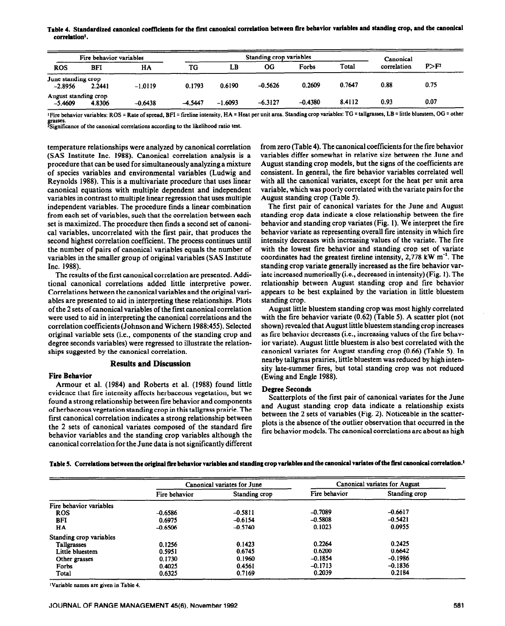Table 4. Standardized canonical coefficients for the first canonical correlation between fire behavior variables and standing crop, and the canonical **correlationl.** 

|                                   | Fire behavior variables |           |           |           | Standing crop variables |           |        | Canonical   |                  |
|-----------------------------------|-------------------------|-----------|-----------|-----------|-------------------------|-----------|--------|-------------|------------------|
| <b>ROS</b>                        | <b>BFI</b>              | HA        | TG        | LB        | OG                      | Forbs     | Total  | correlation | P>F <sup>2</sup> |
| June standing crop<br>$-2.8956$   | 2.2441                  | $-1.0119$ | 0.1793    | 0.6190    | $-0.5626$               | 0.2609    | 0.7647 | 0.88        | 0.75             |
| August standing crop<br>$-5.4609$ | 4.8306                  | $-0.6438$ | $-4.5447$ | $-1.6093$ | $-6.3127$               | $-0.4380$ | 8.4112 | 0.93        | 0.07             |

<sup>1</sup> Fire behavior variables: ROS = Rate of spread, BFI = fireline intensity, HA = Heat per unit area. Standing crop variables: TG = tallgrasses, LB = little bluestem, OG = other grasses. **2Signiticance of the canonical correlations according to the** likelihood ratio test.

temperature relationships were analyzed by canonical correlation (SAS Institute Inc. 1988). Canonical correlation analysis is a procedure that can be used for simultaneously analyzing a mixture of species variables and environmental variables (Ludwig and Reynolds 1988). This is a multivariate procedure that uses linear canonical equations with multiple dependent and independent variables in contrast to multiple linear regression that uses multiple independent variables. The procedure finds a linear combination from each set of variables, such that the correlation between each set is maximized. The procedure then finds a second set of canonical variables, uncorrelated with the first pair, that produces the second highest correlation coefficient. The process continues until the number of pairs of canonical variables equals the number of variables in the smaller group of original variables (SAS Institute Inc. 1988).

The results of the first canonical correlation are presented. Additional canonical correlations added little interpretive power. Correlations between the canonical variables and the original variables are presented to aid in interpreting these relationships. Plots of the 2 sets of canonical variables of the first canonical correlation were used to aid in interpreting the canonical correlations and the correlation coefficients (Johnson and Wichern 1988:455). Selected original variable sets (i.e., components of the standing crop and degree seconds variables) were regressed to illustrate the relationships suggested by the canonical correlation.

# **Results and Discussion**

# **Fire Behavior**

Armour et al. (1984) and Roberts et al. (1988) found little evidence that fire intensity affects herbaceous vegetation, but we found a strong relationship between fire behavior and components of herbaceous vegetation standing crop in this tallgrass prairie. The first canonical correlation indicates a strong relationship between the 2 sets of canonical variates composed of the standard fire behavior variables and the standing crop variables although the canonical correlation for the June data is not significantly different from zero (Table 4). The canonical coefficients for the fire behavior variables differ somewhat in relative size between the June and August standing crop models, but the signs of the coefficients are consistent. In general, the fire behavior variables correlated well with all the canonical variates, except for the heat per unit area variable, which was poorly correlated with the variate pairs for the August standing crop (Table 5).

The first pair of canonical variates for the June and August standing crop data indicate a close relationship between the fire behavior and standing crop variates (Fig. 1). We interpret the fire behavior variate as representing overall fire intensity in which fire intensity decreases with increasing values of the variate. The fire with the lowest fire behavior and standing crop set of variate coordinates had the greatest fireline intensity,  $2,778 \text{ kW m}^{-1}$ . The standing crop variate generally increased as the fire behavior variate increased numerically (i.e., decreased in intensity) (Fig. 1). The relationship between August standing crop and fire behavior appears to be best explained by the variation in little bluestem standing crop.

August little bluestem standing crop was most highly correlated with the fire behavior variate (0.62) (Table 5). A scatter plot (not shown) revealed that August little bluestem standing crop increases as fire behavior decreases (i.e., increasing values of the fire behavior variate). August little bluestem is also best correlated with the canonical variates for August standing crop (0.66) (Table 5). In nearby tallgrass prairies, little bluestem was reduced by high intensity late-summer fires, but total standing crop was not reduced (Ewing and Engle 1988).

## **Degree Seconds**

Scatterplots of the first pair of canonical variates for the June and August standing crop data indicate a relationship exists between the 2 sets of variables (Fig. 2). Noticeable in the scatterplots is the absence of the outlier observation that occurred in the fire behavior models. The canonical correlations are about as high

Table 5. Correlations between the original fire behavior variables and standing crop variables and the canonical variates of the first canonical correlation.<sup>1</sup>

|                         | Canonical variates for June |               | Canonical variates for August |               |  |
|-------------------------|-----------------------------|---------------|-------------------------------|---------------|--|
|                         | Fire behavior               | Standing crop | Fire behavior                 | Standing crop |  |
| Fire behavior variables |                             |               |                               |               |  |
| <b>ROS</b>              | $-0.6586$                   | $-0.5811$     | $-0.7089$                     | $-0.6617$     |  |
| <b>BFI</b>              | 0.6975                      | $-0.6154$     | $-0.5808$                     | $-0.5421$     |  |
| НA                      | $-0.6506$                   | $-0.5740$     | 0.1023                        | 0.0955        |  |
| Standing crop variables |                             |               |                               |               |  |
| Tallgrasses             | 0.1256                      | 0.1423        | 0.2264                        | 0.2425        |  |
| Little bluestem         | 0.5951                      | 0.6745        | 0.6200                        | 0.6642        |  |
| Other grasses           | 0.1730                      | 0.1960        | $-0.1854$                     | $-0.1986$     |  |
| Forbs                   | 0.4025                      | 0.4561        | $-0.1713$                     | $-0.1836$     |  |
| Total                   | 0.6325                      | 0.7169        | 0.2039                        | 0.2184        |  |

*IVariable names are given in Table 4.*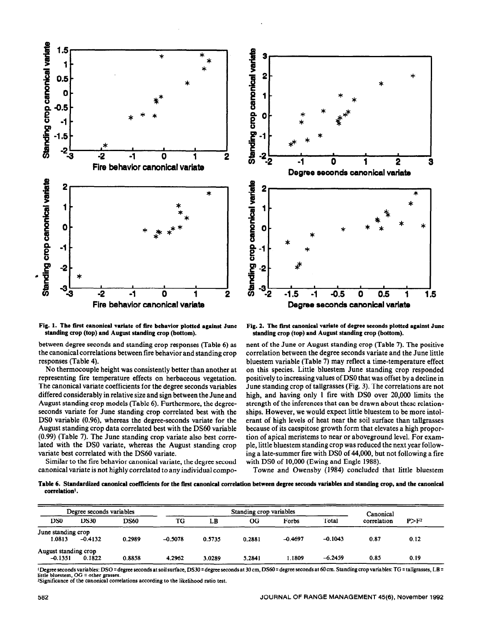



Fig. 1. The first canonical variate of fire behavior plotted against June standing crop (top) and August standing crop (bottom).

between degree seconds and standing crop responses (Table 6) as the canonical correlations between fire behavior and standing crop responses (Table 4).

No thermocouple height was consistently better than another at representing fire temperature effects on herbaceous vegetation. The canonical variate coefficients for the degree seconds variables differed considerably in relative size and sign between the June and August standing crop models (Table 6). Furthermore, the degreeseconds variate for June standing crop correlated best with the DS0 variable (0.96), whereas the degree-seconds variate for the August standing crop data correlated best with the DS60 variable (0.99) (Table 7). The June standing crop variate also best correlated with the DS0 variate, whereas the August standing crop variate best correlated with the DS60 variate.

Similar to the fire behavior canonical variate, the degree second canonical variate is not highly correlated to any individual compo-

Fig. 2. The first canonical variate of degree seconds plotted against June standing crop (top) and August standing crop (bottom).

nent of the June or August standing crop (Table 7). The positive correlation between the degree seconds variate and the June little bluestem variable (Table 7) may reflect a time-temperature effect on this species. Little bluestem June standing crop responded positively to increasing values of DS0 that was offset by a decline in June standing crop of tallgrasses (Fig. 3). The correlations are not high, and having only 1 fire with DS0 over 20,000 limits the strength of the inferences that can be drawn about these relationships. However, we would expect little bluestem to be more intolerant of high levels of heat near the soil surface than tallgrasses because of its caespitose growth form that elevates a high proportion of apical meristems to near or aboveground level. For example, little bluestem standing crop was reduced the next year following a late-summer fire with DS0 of 44,000, but not following a fire with DS0 of 10,000 (Ewing and Engle 1988).

Towne and Owensby (1984) concluded that little bluestem

Table 6. Standardized canonical coefficients for the first canonical correlation between degree seconds variables and standing crop, and the canonical correlation<sup>1</sup>.

|                                   | Degree seconds variables<br>Standing crop variables<br>Canonical |             |           |        |        |           |           |             |         |
|-----------------------------------|------------------------------------------------------------------|-------------|-----------|--------|--------|-----------|-----------|-------------|---------|
| DS <sub>0</sub>                   | <b>DS30</b>                                                      | <b>DS60</b> | TG        | LB     | OG.    | Forbs     | Total     | correlation | $P>F^2$ |
| June standing crop<br>1.0813      | $-0.4132$                                                        | 0.2989      | $-0.5078$ | 0.5735 | 0.2881 | $-0.4697$ | $-0.1043$ | 0.87        | 0.12    |
| August standing crop<br>$-0.1351$ | 0.1822                                                           | 0.8858      | 4.2962    | 3.0289 | 5.2841 | 1.1809    | $-6.2459$ | 0.85        | 0.19    |

<sup>1</sup>Degree seconds variables: DSO = degree seconds at soil surface, DS30 = degree seconds at 30 cm, DS60 = degree seconds at 60 cm. Standing crop variables: TG = tallgrasses, LB = little bluestem, OG = other grasses.<br>
<sup>2</sup>Significance of the canonical correlations according to the likelihood ratio test.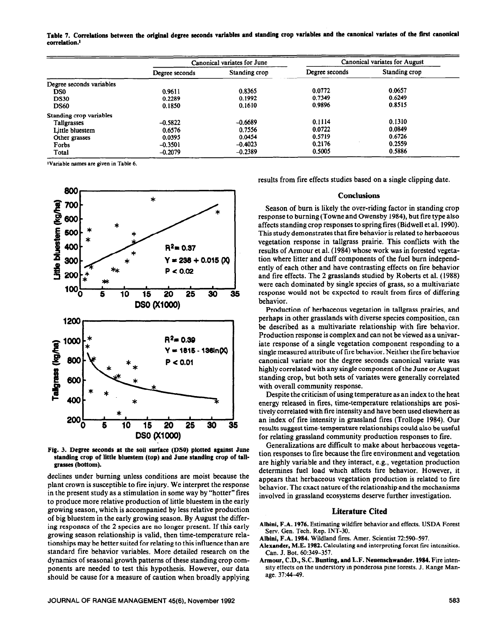Table 7. Correlations between the original degree seconds variables and standing crop variables and the canonical variates of the first canonical **correlation.'** 

|                          | Canonical variates for June |                                 | Canonical variates for August |               |  |
|--------------------------|-----------------------------|---------------------------------|-------------------------------|---------------|--|
|                          | Degree seconds              | Degree seconds<br>Standing crop |                               | Standing crop |  |
| Degree seconds variables |                             |                                 |                               |               |  |
| D <sub>S0</sub>          | 0.9611                      | 0.8365                          | 0.0772                        | 0.0657        |  |
| <b>DS30</b>              | 0.2289                      | 0.1992                          | 0.7349                        | 0.6249        |  |
| <b>DS60</b>              | 0.1850                      | 0.1610                          | 0.9896                        | 0.8515        |  |
| Standing crop variables  |                             |                                 |                               |               |  |
| Tallgrasses              | $-0.5822$                   | $-0.6689$                       | 0.1114                        | 0.1310        |  |
| Little bluestem          | 0.6576                      | 0.7556                          | 0.0722                        | 0.0849        |  |
| Other grasses            | 0.0395                      | 0.0454                          | 0.5719                        | 0.6726        |  |
| Forbs                    | $-0.3501$                   | $-0.4023$                       | 0.2176                        | 0.2559        |  |
| Total                    | $-0.2079$                   | $-0.2389$                       | 0.5005                        | 0.5886        |  |

1Variable names are given in Table 6.



**Fig. 3. Degree seconds at the soil surface (DSO) plotted against June standing crop of little bluestem (top) and June standing crop of tallgrasses (bottom).** 

declines under burning unless conditions are moist because the plant crown is susceptible to fire injury. We interpret the response in the present study as a stimulation in some way by "hotter" fires to produce more relative production of little bluestem in the early growing season, which is accompanied by less relative production of big bluestem in the early growing season. By August the differing responses of the 2 species are no longer present. If this early growing season relationship is valid, then time-temperature relationships may be better suited for relating to this influence than are standard fire behavior variables. More detailed research on the dynamics of seasonal growth patterns of these standing crop components are needed to test this hypothesis. However, our data should be cause for a measure of caution when broadly applying results from fire effects studies based on a single clipping date.

## **Conclusions**

Season of burn is likely the over-riding factor in standing crop response to burning (Towne and Owensby 1984), but fire type also affects standing crop responses to spring fires (Bidwell et al. 1990). This study demonstrates that tire behavior is related to herbaceous vegetation response in tallgrass prairie. This conflicts with the results of Armour et al. (1984) whose work was in forested vegetation where litter and duff components of the fuel burn independently of each other and have contrasting effects on fire behavior and tire effects. The 2 grasslands studied by Roberts et al. (1988) were each dominated by single species of grass, so a multivariate response would not be expected to result from tires of differing behavior.

Production of herbaceous vegetation in tallgrass prairies, and perhaps in other grasslands with diverse species composition, can be described as a multivariate relationship with fire behavior. Production response is complex and can not be viewed as a univariate response of a single vegetation component responding to a single measured attribute of fire behavior. Neither the fire behavior canonical variate nor the degree seconds canonical variate was highly correlated with any single component of the June or August standing crop, but both sets of variates were generally correlated with overall community response.

Despite the criticism of using temperature as an index to the heat energy released in fires, time-temperature relationships are positively correlated with fire intensity and have been used elsewhere as an index of fire intensity in grassland fires (Trollope 1984). Our results suggest time-temperature relationships could also be useful for relating grassland community production responses to fire.

Generalizations are difficult to make about herbaceous vegetation responses to tire because the fire environment and vegetation are highly variable and they interact, e.g., vegetation production determines fuel load which affects fire behavior. However, it appears that herbaceous vegetation production is related to fire behavior. The exact nature of the relationship and the mechanisms involved in grassland ecosystems deserve further investigation.

# **Literature Cited**

- **Albini, F.A. 1976.** Estimating wildfire behavior and effects. USDA Forest Serv. Gen. Tech. **Rep. INT-30.**
- **Albini, F.A. 1984.** Wildland fires. Amer. Scientist 72:590-597.
- **Alexander, M.E. 1982.** Calculating and interpreting forest fire intensities. Can. J. Bot. 60:349-357.
- **Armour, C.D., S.C. Bunting, and L.F. Neuenschwander. 1984.** Fire intensity effects on the understory in ponderosa pine forests. J. Range Manage. 37:44-49.